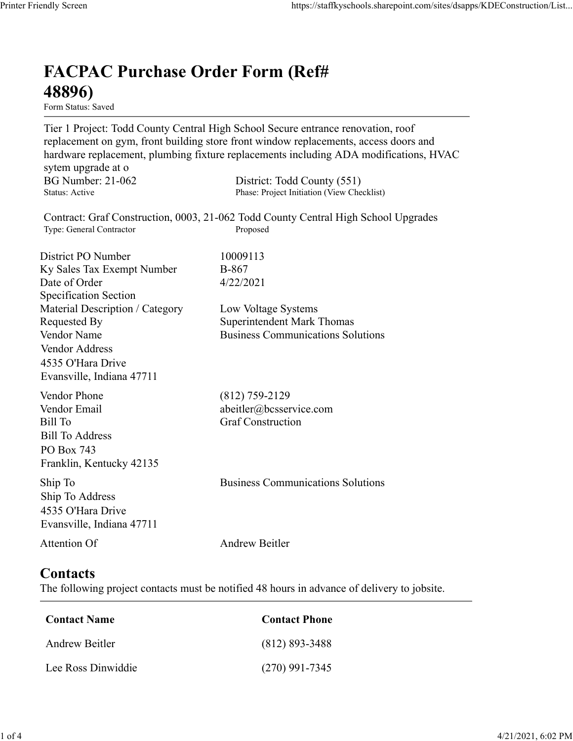## FACPAC Purchase Order Form (Ref# 48896)

Form Status: Saved

Tier 1 Project: Todd County Central High School Secure entrance renovation, roof replacement on gym, front building store front window replacements, access doors and hardware replacement, plumbing fixture replacements including ADA modifications, HVAC sytem upgrade at o https://staffkyschools.sharepoint.com/sites/dsapps/KDEConstructic<br> **FACPAC Purchase Order Form (Ref#**<br> **FERENC PURENC PURENC COUNT COUNT COUNT COUNTER**<br>
Tier 1 Project: Todd County Central High School Secure entrance renov https://staffkyschools.sharepoint.com/sites/dsapps/KDEConstructic<br> **FACPAC Purchase Order Form (Ref#**<br>
Form States: Saved<br>
Form States: Saved<br>
Tier 1 Project: Todd County Central High School Secure entrance renovation, roo Contract: Graf Construction, 0003, 21-062 Todd County Central High School Upgrades https://staffkyschools.sharepoint.com/sites/dsarps/KDFConstructic<br> **FACPAC Purchase Order Form (Ref#**<br>
Form Status: Saved<br>
Form Status: Saved<br>
Form Status: Saved<br>
Terpleicet: Todd County Central High School Secure entrance **FACPAC Purchase Order Form (Ref#**<br> **48896)**<br> **Form Status:** Saved<br> **Form Status:** Saved<br> **Form Status:** Saved<br> **Form Status:** The District Polar County Central High School Sceure entrance renovation, roof<br> **here**dware re **FACPAC Purchase Order Form (Ref#**<br>  $\text{48896}$ )<br>
Form States Saved<br>
Form Tenjacents: Todd County Central High School Sceure entrance renovation, roof<br>
Tep I Project: Todd County Central High School Sceure entrance renova FACPAC Purchase Order Form (Ref#<br>
48896)<br>
Form Status: Saved<br>
Tier 1 Project: Todd County Central High School Secure entrance renovation, roof<br>
replacement on gym, front building store front window replacements, access doo Specification Section **FACPAC Purchase Order Form (Ref#**<br> **48896)**<br>
Form Status. Saved<br>
Terr 1 Project: Todd County Central High School Secure entrance renovation, roof<br>
Teplacement on gym, front building store front window replacements, acces **48896)**<br>
Form Status: Saved<br>
Tier 1 Project: Todd County Central High School Secure entrance renovation, roof<br>
replacement on gym, front building store front window replacements, access doors and<br>
hardware replacement, pl **From States:**<br> **From States:**<br> **From States:**<br> **From States:**<br> **From States:**<br> **From States:**<br> **Propresement, plumbing fixture replacements including ADA modifications, HVAC<br>
hardware replacement, plumbing fixture replace** Vendor Address 4535 O'Hara Drive Evansville, Indiana 47711 nardware replacements, multimary and the system upgrade at o<br>sytem upgrade at o<br>BG Number: 21-062 District: Todd County (551)<br>Status: Active<br>BG Number: 21-062 District: Todd County (S51)<br>Contract: Graf Construction, 0003, sytem upgrade at o<br>
HG Number: 21-062 Bistrict: Todd County (551)<br>
Status: Active Phase: Project Initiation (View Checklist)<br>
Contract: Graf Construction, 0003, 21-062 Todd County Central High School Upgrades<br>
Type: Genera Bill Number: 21-062<br>
Bill Number<br>
Status: Active<br>
Status: Active<br>
Contract: Graf Construction, 0003, 21-062 Todd County Central High School Upgrades<br>
Type: General Contractor<br>
District PO Number<br>
District PO Number<br>
Distri Bill To Address PO Box 743 Franklin, Kentucky 42135 District PO Number<br>
IS Ky Sales Tax Exempt Number<br>
IS Exector-Corder<br>
Specification Section<br>
Secretical Description / Category<br>
Material Description / Category<br>
Communications Solutions<br>
Nendor Name<br>
Nendor Name<br>
Vendor Na Ship To Address 4535 O'Hara Drive Evansville, Indiana 47711 Material Description / Category<br>
Requested By<br>
Requested By<br>
Nodor Name<br>
Vendor Name<br>
Vendor Address<br>
Vendor Address<br>
1433 O'Hara Drive<br>
Evansville, Indiana 47711<br>
Vendor Phone<br>
(812) 759-2129<br>
Vendor Phone<br>
(812) 759-2129 **Contacts** Example (812) 759-2129<br>
Fendor Email<br>
Fill To<br>
Fendor Email<br>
IIII To<br>
Elli To<br>
III To<br>
Contact Sample To<br>
Contact Construction<br>
In To<br>
Contact S35 O'Box 743<br>
SOS O'Hara Drive<br>
Vivarsville, Indiana 47711<br>
Andrew Beitler<br>
Co Vendor Email<br>
iill To<br>
Andress<br>
iill To<br>
Address<br>
O Box 743<br>
To<br>
No Do Box 743<br>
In p To<br>
Andrew Manucky 42135<br>
535 O'Hara Drive<br>
Vivansville, Indiana 47711<br>
Andrew Beitler<br> **Contact Server Drive**<br> **Contact Name<br>
Contact Ph** Sill To Address<br>
Co Box 743<br>
Co Ross 2<br>
Tranklin, Kentucky 42135<br>
hip To<br>
To Address<br>
S35 O'Hara Drive<br>
Vivansville, Indiana 47711<br>
Andrew Beitler<br> **ContactS**<br>
he following project contacts must be notified 48 hours in adv

The following project contacts must be notified 48 hours in advance of delivery to jobsite.

| <b>Contact Name</b> | <b>Contact Phone</b> |
|---------------------|----------------------|
| Andrew Beitler      | $(812) 893 - 3488$   |
| Lee Ross Dinwiddie  | $(270)$ 991-7345     |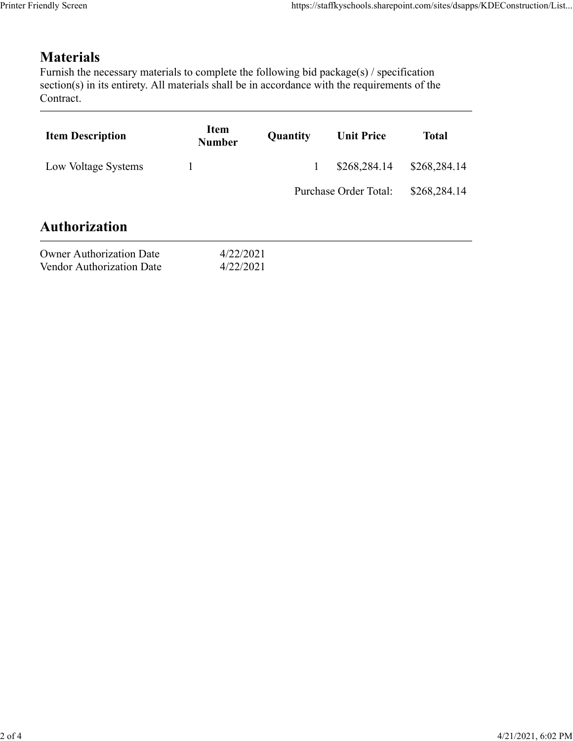## Materials

| Item<br><b>Item Description</b><br>Quantity<br><b>Unit Price</b><br><b>Total</b><br><b>Number</b><br>Low Voltage Systems<br>$\mathbf{1}$<br>\$268,284.14<br>Purchase Order Total:                                                                  |                                 |  | https://staffkyschools.sharepoint.com/sites/dsapps/KDEConstruction/List |
|----------------------------------------------------------------------------------------------------------------------------------------------------------------------------------------------------------------------------------------------------|---------------------------------|--|-------------------------------------------------------------------------|
| <b>Materials</b><br>Furnish the necessary materials to complete the following bid package(s) / specification<br>section(s) in its entirety. All materials shall be in accordance with the requirements of the<br>Contract.<br><b>Authorization</b> |                                 |  |                                                                         |
|                                                                                                                                                                                                                                                    |                                 |  |                                                                         |
|                                                                                                                                                                                                                                                    |                                 |  |                                                                         |
|                                                                                                                                                                                                                                                    |                                 |  | \$268,284.14                                                            |
|                                                                                                                                                                                                                                                    |                                 |  | \$268,284.14                                                            |
|                                                                                                                                                                                                                                                    |                                 |  |                                                                         |
| 4/22/2021<br>Vendor Authorization Date<br>4/22/2021                                                                                                                                                                                                | <b>Owner Authorization Date</b> |  |                                                                         |